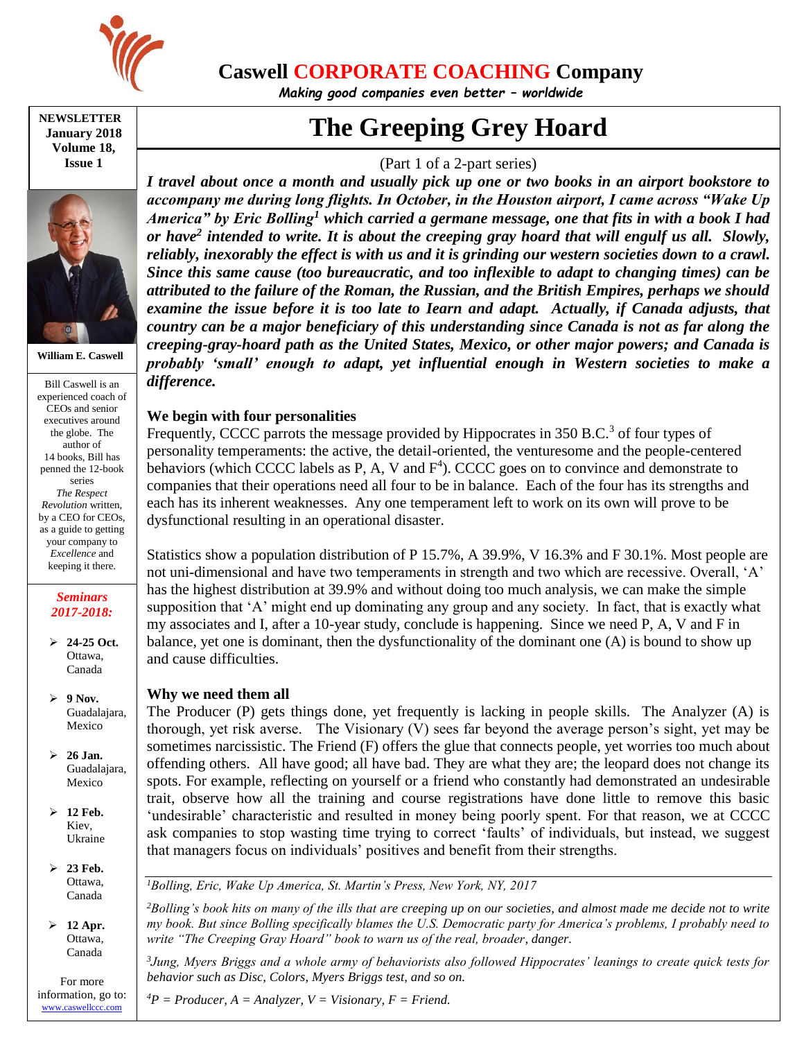

# **Caswell CORPORATE COACHING Company**

*Making good companies even better – worldwide*

**NEWSLETTER January 2018 Volume 18, Issue 1**



**William E. Caswell**

Bill Caswell is an experienced coach of CEOs and senior executives around the globe. The author of 14 books, Bill has penned the 12-book series *The Respect Revolution* written, by a CEO for CEOs, as a guide to getting your company to *Excellence* and keeping it there.

#### *Seminars 2017-2018:*

 **24-25 Oct.** Ottawa, Canada

 **9 Nov.** Guadalajara, Mexico

- **26 Jan.** Guadalajara, Mexico
- **12 Feb.** Kiev, Ukraine
- **23 Feb.** Ottawa, Canada

 **12 Apr.** Ottawa, Canada

For more information, go to: [www.caswellccc.com](http://www.caswellccc.com/)

# **The Greeping Grey Hoard**

# (Part 1 of a 2-part series)

*I travel about once a month and usually pick up one or two books in an airport bookstore to accompany me during long flights. In October, in the Houston airport, I came across "Wake Up America" by Eric Bolling<sup>1</sup> which carried a germane message, one that fits in with a book I had or have<sup>2</sup> intended to write. It is about the creeping gray hoard that will engulf us all. Slowly, reliably, inexorably the effect is with us and it is grinding our western societies down to a crawl. Since this same cause (too bureaucratic, and too inflexible to adapt to changing times) can be attributed to the failure of the Roman, the Russian, and the British Empires, perhaps we should examine the issue before it is too late to Iearn and adapt. Actually, if Canada adjusts, that country can be a major beneficiary of this understanding since Canada is not as far along the creeping-gray-hoard path as the United States, Mexico, or other major powers; and Canada is probably 'small' enough to adapt, yet influential enough in Western societies to make a difference.* 

## **We begin with four personalities**

Frequently, CCCC parrots the message provided by Hippocrates in 350 B.C.<sup>3</sup> of four types of personality temperaments: the active, the detail-oriented, the venturesome and the people-centered behaviors (which CCCC labels as P, A, V and  $F<sup>4</sup>$ ). CCCC goes on to convince and demonstrate to companies that their operations need all four to be in balance. Each of the four has its strengths and each has its inherent weaknesses. Any one temperament left to work on its own will prove to be dysfunctional resulting in an operational disaster.

Statistics show a population distribution of P 15.7%, A 39.9%, V 16.3% and F 30.1%. Most people are not uni-dimensional and have two temperaments in strength and two which are recessive. Overall, 'A' has the highest distribution at 39.9% and without doing too much analysis, we can make the simple supposition that 'A' might end up dominating any group and any society. In fact, that is exactly what my associates and I, after a 10-year study, conclude is happening. Since we need P, A, V and F in balance, yet one is dominant, then the dysfunctionality of the dominant one (A) is bound to show up and cause difficulties.

#### **Why we need them all**

The Producer (P) gets things done, yet frequently is lacking in people skills. The Analyzer (A) is thorough, yet risk averse. The Visionary (V) sees far beyond the average person's sight, yet may be sometimes narcissistic. The Friend (F) offers the glue that connects people, yet worries too much about offending others. All have good; all have bad. They are what they are; the leopard does not change its spots. For example, reflecting on yourself or a friend who constantly had demonstrated an undesirable trait, observe how all the training and course registrations have done little to remove this basic 'undesirable' characteristic and resulted in money being poorly spent. For that reason, we at CCCC ask companies to stop wasting time trying to correct 'faults' of individuals, but instead, we suggest that managers focus on individuals' positives and benefit from their strengths.

*<sup>1</sup>Bolling, Eric, Wake Up America, St. Martin's Press, New York, NY, 2017*

*<sup>2</sup>Bolling's book hits on many of the ills that are creeping up on our societies, and almost made me decide not to write my book. But since Bolling specifically blames the U.S. Democratic party for America's problems, I probably need to write "The Creeping Gray Hoard" book to warn us of the real, broader, danger.*

*3 Jung, Myers Briggs and a whole army of behaviorists also followed Hippocrates' leanings to create quick tests for behavior such as Disc, Colors, Myers Briggs test, and so on.*

 $^{4}P =$  *Producer, A* = *Analyzer, V* = *Visionary, F* = *Friend.*